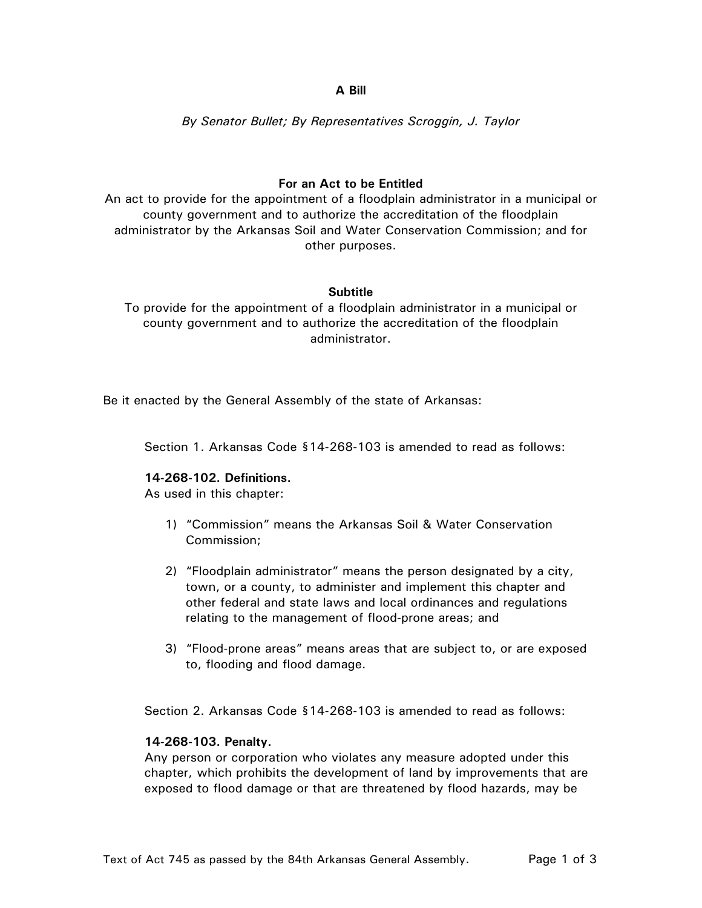### **A Bill**

*By Senator Bullet; By Representatives Scroggin, J. Taylor* 

# **For an Act to be Entitled**

An act to provide for the appointment of a floodplain administrator in a municipal or county government and to authorize the accreditation of the floodplain administrator by the Arkansas Soil and Water Conservation Commission; and for other purposes.

### **Subtitle**

To provide for the appointment of a floodplain administrator in a municipal or county government and to authorize the accreditation of the floodplain administrator.

Be it enacted by the General Assembly of the state of Arkansas:

Section 1. Arkansas Code §14-268-103 is amended to read as follows:

### **14-268-102. Definitions.**

As used in this chapter:

- 1) "Commission" means the Arkansas Soil & Water Conservation Commission;
- 2) "Floodplain administrator" means the person designated by a city, town, or a county, to administer and implement this chapter and other federal and state laws and local ordinances and regulations relating to the management of flood-prone areas; and
- 3) "Flood-prone areas" means areas that are subject to, or are exposed to, flooding and flood damage.

Section 2. Arkansas Code §14-268-103 is amended to read as follows:

### **14-268-103. Penalty.**

Any person or corporation who violates any measure adopted under this chapter, which prohibits the development of land by improvements that are exposed to flood damage or that are threatened by flood hazards, may be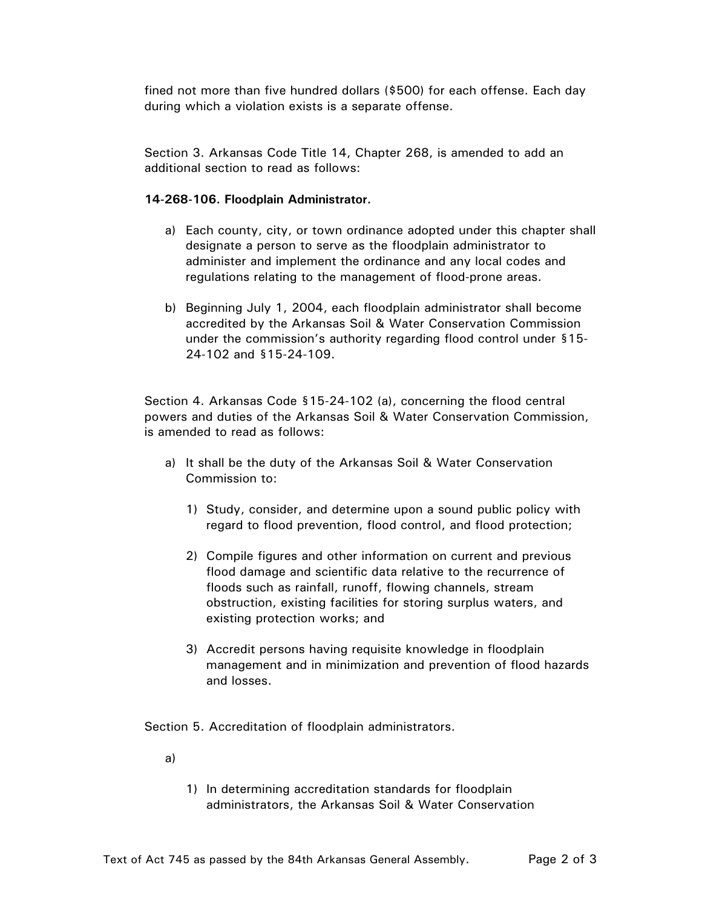fined not more than five hundred dollars (\$500) for each offense. Each day during which a violation exists is a separate offense.

Section 3. Arkansas Code Title 14, Chapter 268, is amended to add an additional section to read as follows:

### **14-268-106. Floodplain Administrator.**

- a) Each county, city, or town ordinance adopted under this chapter shall designate a person to serve as the floodplain administrator to administer and implement the ordinance and any local codes and regulations relating to the management of flood-prone areas.
- b) Beginning July 1, 2004, each floodplain administrator shall become accredited by the Arkansas Soil & Water Conservation Commission under the commission's authority regarding flood control under §15- 24-102 and §15-24-109.

Section 4. Arkansas Code §15-24-102 (a), concerning the flood central powers and duties of the Arkansas Soil & Water Conservation Commission, is amended to read as follows:

- a) It shall be the duty of the Arkansas Soil & Water Conservation Commission to:
	- 1) Study, consider, and determine upon a sound public policy with regard to flood prevention, flood control, and flood protection;
	- 2) Compile figures and other information on current and previous flood damage and scientific data relative to the recurrence of floods such as rainfall, runoff, flowing channels, stream obstruction, existing facilities for storing surplus waters, and existing protection works; and
	- 3) Accredit persons having requisite knowledge in floodplain management and in minimization and prevention of flood hazards and losses.

Section 5. Accreditation of floodplain administrators.

a)

1) In determining accreditation standards for floodplain administrators, the Arkansas Soil & Water Conservation